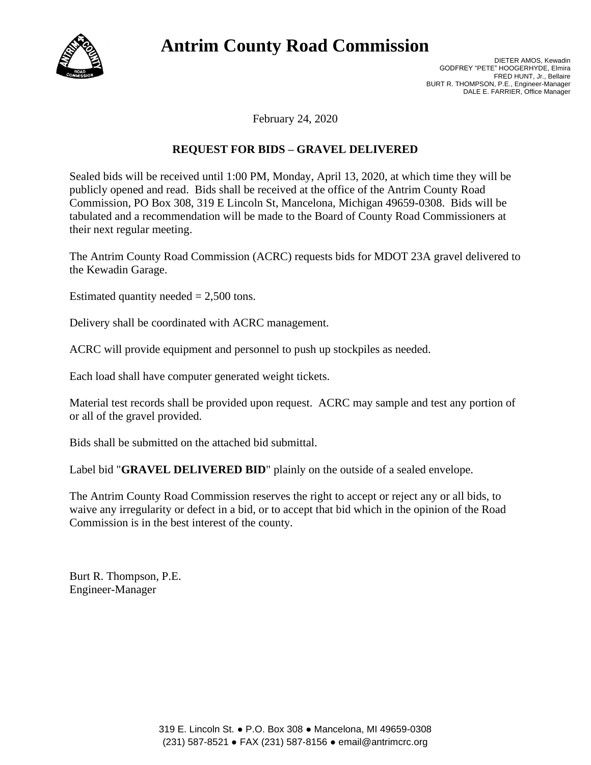

## **Antrim County Road Commission**

DIETER AMOS, Kewadin GODFREY "PETE" HOOGERHYDE, Elmira FRED HUNT, Jr., Bellaire BURT R. THOMPSON, P.E., Engineer-Manager DALE E. FARRIER, Office Manager

February 24, 2020

## **REQUEST FOR BIDS – GRAVEL DELIVERED**

Sealed bids will be received until 1:00 PM, Monday, April 13, 2020, at which time they will be publicly opened and read. Bids shall be received at the office of the Antrim County Road Commission, PO Box 308, 319 E Lincoln St, Mancelona, Michigan 49659-0308. Bids will be tabulated and a recommendation will be made to the Board of County Road Commissioners at their next regular meeting.

The Antrim County Road Commission (ACRC) requests bids for MDOT 23A gravel delivered to the Kewadin Garage.

Estimated quantity needed  $= 2,500$  tons.

Delivery shall be coordinated with ACRC management.

ACRC will provide equipment and personnel to push up stockpiles as needed.

Each load shall have computer generated weight tickets.

Material test records shall be provided upon request. ACRC may sample and test any portion of or all of the gravel provided.

Bids shall be submitted on the attached bid submittal.

Label bid "**GRAVEL DELIVERED BID**" plainly on the outside of a sealed envelope.

The Antrim County Road Commission reserves the right to accept or reject any or all bids, to waive any irregularity or defect in a bid, or to accept that bid which in the opinion of the Road Commission is in the best interest of the county.

Burt R. Thompson, P.E. Engineer-Manager